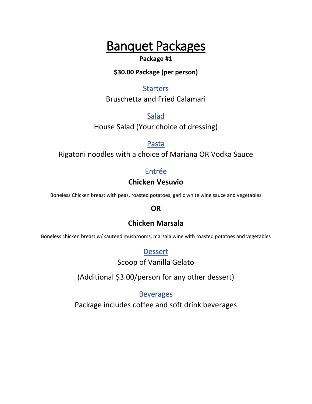#### **Package #1**

#### **\$30.00 Package (per person)**

### **Starters**

Bruschetta and Fried Calamari

Salad

House Salad (Your choice of dressing)

Pasta

Rigatoni noodles with a choice of Mariana OR Vodka Sauce

# Entrée **Chicken Vesuvio**

Boneless Chicken breast with peas, roasted potatoes, garlic white wine sauce and vegetables

# **OR**

# **Chicken Marsala**

Boneless chicken breast w/ sauteed mushrooms, marsala wine with roasted potatoes and vegetables

**Dessert** 

Scoop of Vanilla Gelato

(Additional \$3.00/person for any other dessert)

Beverages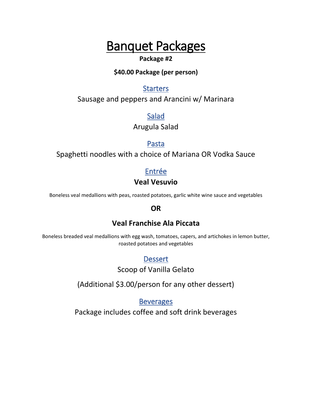#### **Package #2**

#### **\$40.00 Package (per person)**

### **Starters**

Sausage and peppers and Arancini w/ Marinara

Salad

Arugula Salad

# Pasta

Spaghetti noodles with a choice of Mariana OR Vodka Sauce

# Entrée

#### **Veal Vesuvio**

Boneless veal medallions with peas, roasted potatoes, garlic white wine sauce and vegetables

#### **OR**

# **Veal Franchise Ala Piccata**

Boneless breaded veal medallions with egg wash, tomatoes, capers, and artichokes in lemon butter, roasted potatoes and vegetables

# Dessert

Scoop of Vanilla Gelato

(Additional \$3.00/person for any other dessert)

Beverages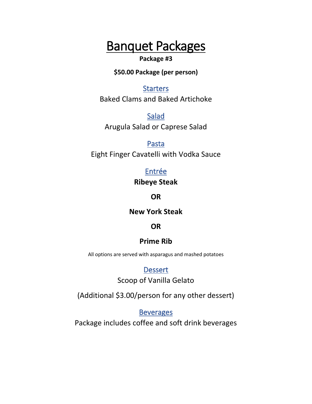#### **Package #3**

**\$50.00 Package (per person)**

#### **Starters**

Baked Clams and Baked Artichoke

Salad Arugula Salad or Caprese Salad

Pasta Eight Finger Cavatelli with Vodka Sauce

> Entrée **Ribeye Steak**

> > **OR**

**New York Steak**

#### **OR**

#### **Prime Rib**

All options are served with asparagus and mashed potatoes

#### **Dessert**

Scoop of Vanilla Gelato

(Additional \$3.00/person for any other dessert)

**Beverages**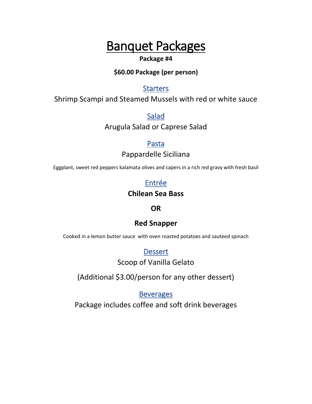#### **Package #4**

#### **\$60.00 Package (per person)**

# **Starters**

Shrimp Scampi and Steamed Mussels with red or white sauce

Salad

Arugula Salad or Caprese Salad

Pasta

Pappardelle Siciliana

Eggplant, sweet red peppers kalamata olives and capers in a rich red gravy with fresh basil

# Entrée

# **Chilean Sea Bass**

# **OR**

# **Red Snapper**

Cooked in a lemon butter sauce with oven roasted potatoes and sauteed spinach

**Dessert** 

Scoop of Vanilla Gelato

(Additional \$3.00/person for any other dessert)

**Beverages**